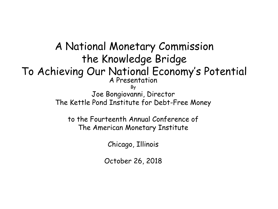A National Monetary Commission the Knowledge Bridge To Achieving Our National Economy's Potential A Presentation By Joe Bongiovanni, Director The Kettle Pond Institute for Debt-Free Money to the Fourteenth Annual Conference of The American Monetary Institute

Chicago, Illinois

October 26, 2018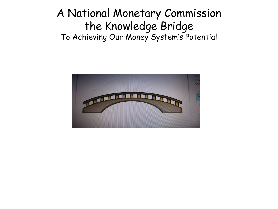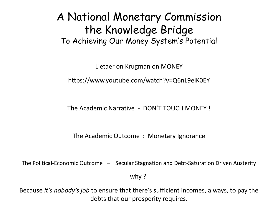Lietaer on Krugman on MONEY

<https://www.youtube.com/watch?v=Q6nL9elK0EY>

The Academic Narrative - DON'T TOUCH MONEY !

The Academic Outcome : Monetary Ignorance

The Political-Economic Outcome – Secular Stagnation and Debt-Saturation Driven Austerity

why ?

Because *it's nobody's job* to ensure that there's sufficient incomes, always, to pay the debts that our prosperity requires.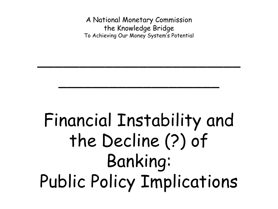\_\_\_\_\_\_\_\_\_\_\_\_\_\_\_\_\_\_\_\_\_\_\_\_

\_\_\_\_\_\_\_\_\_\_\_\_\_\_\_\_\_\_\_

# Financial Instability and the Decline (?) of Banking: Public Policy Implications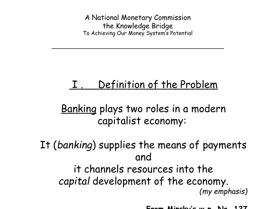$\overline{a}$  , and the set of the set of the set of the set of the set of the set of the set of the set of the set of the set of the set of the set of the set of the set of the set of the set of the set of the set of the set

# I . Definition of the Problem

Banking plays two roles in a modern capitalist economy:

It (*banking*) supplies the means of payments and it channels resources into the *capital* development of the economy. *(my emphasis)*

**From Minsky's w.p. No. 127**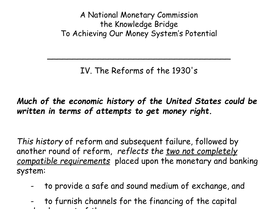IV. The Reforms of the 1930's

 $\overline{\phantom{a}}$ 

*Much of the economic history of the United States could be written in terms of attempts to get money right.* 

*This history* of reform and subsequent failure, followed by another round of reform, *reflects the two not completely compatible requirements* placed upon the monetary and banking system:

- to provide a safe and sound medium of exchange, and
- to furnish channels for the financing of the capital development of the economy.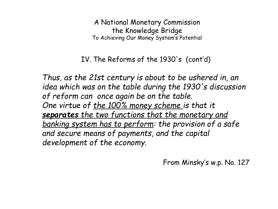IV. The Reforms of the 1930's (cont'd)

*Thus, as the 21st century is about to be ushered in, an idea which was on the table during the 1930's discussion of reform can once again be on the table. One virtue of the 100% money scheme is that it separates the two functions that the monetary and banking system has to perform: the provision of a safe and secure means of payments, and the capital development of the economy.*

From Minsky's w.p. No. 127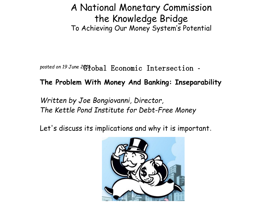posted on 19 June 2011 obal Economic Intersection -

#### **[The Problem With Money And Banking: Inseparability](http://econintersect.com/pages/opinion/opinion.php?post=201606190011)**

*Written by [Joe Bongiovanni,](http://econintersect.com/authors/author_rel.htm?author=/home/aleta/public_html/authors/bongiovanni_joe.htm) [Director,](http://econintersect.com/authors/author_rel.htm?author=/home/aleta/public_html/authors/bongiovanni_joe.htm)  [The Kettle Pond Institute for Debt-Free Money](http://econintersect.com/authors/author_rel.htm?author=/home/aleta/public_html/authors/bongiovanni_joe.htm)*

Let's discuss its implications and why it is important.

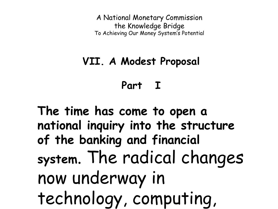### **VII. A Modest Proposal**

**Part I**

**The time has come to open a national inquiry into the structure of the banking and financial system**. The radical changes now underway in technology, computing,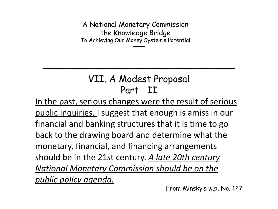\_\_ To Achieving Our Money System's PotentialA National Monetary Commission the Knowledge Bridge

### VII. A Modest Proposal Part II

\_\_\_\_\_\_\_\_\_\_\_\_\_\_\_\_\_\_\_\_\_\_\_\_\_\_\_\_\_\_\_\_\_

In the past, serious changes were the result of serious public inquiries. I suggest that enough is amiss in our financial and banking structures that it is time to go back to the drawing board and determine what the monetary, financial, and financing arrangements should be in the 21st century. *A late 20th century National Monetary Commission should be on the public policy agenda.*

From Minsky's w.p. No. 127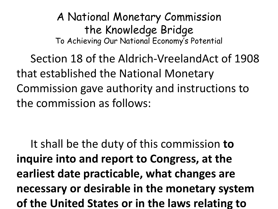A National Monetary Commission the Knowledge Bridge To Achieving Our National Economy's Potential

Section 18 of the Aldrich-VreelandAct of 1908 that established the National Monetary Commission gave authority and instructions to the commission as follows:

It shall be the duty of this commission **to inquire into and report to Congress, at the earliest date practicable, what changes are necessary or desirable in the monetary system of the United States or in the laws relating to**